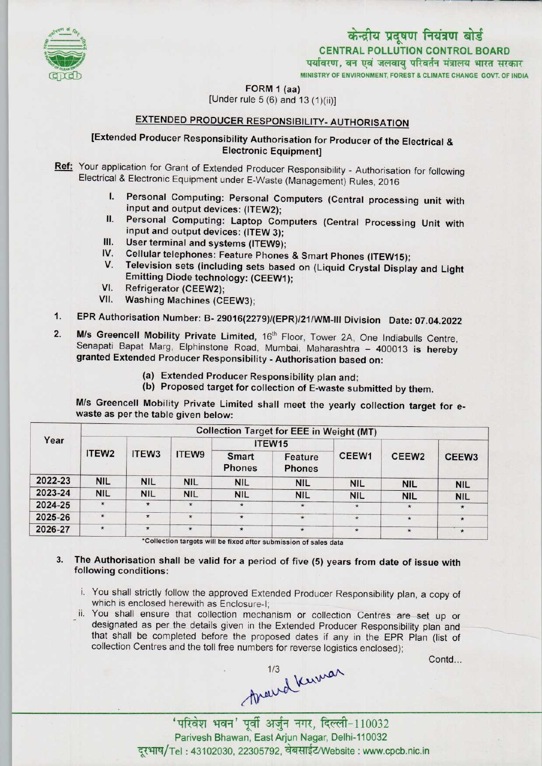

# केन्द्रीय प्रदूषण नियंत्रण बोर्ड CENTRAL POLLUTION CONTROL BOARD<br>पर्यावरण, वन एवं जलवाय परिवर्तन मंत्रालय भारत सरकार MINISTRY OF ENVIRONMENT, FOREST & CLIMATE CHANGE GOVT. OF INDIA

FORM 1 (aa)

[Under rule 5 (6) and 13(1)(ii)]

### EXTENDED PRODUCER RESPONSIBILITY- AUTHORISATION

## [Extended Producer Responsibility Authorisation for Producer of the Electrical & Electronic Equipment]

- Ref: Your application for Grant of Extended Producer Responsibility Authorisation for following Electrical & Electronic Equipment under E-Waste (Management) Rules, 2016
	- I. Personal Computing: Personal Computers (Central processing unit with input and output devices: (ITEW2);
	- II. Personal Computing: Laptop Computers (Central Processing Unit with in: Fersonal Computing: Laptop Con<br>
	input and output devices: (ITEW 3);<br>
	III. User terminal and systems (ITEW9);
	-
	- III. User terminal and systems (ITEW 3);<br>IV. Cellular telephones: Feature Phones & Smart Phones (ITEW15);<br>V. Televisian actor (in: I
	- In Seer terminal and systems (iTEW9),<br>V. Cellular telephones: Feature Phones & Smart Phones (ITEW15);<br>V. Television sets (including sets based on (Liquid Crystal Display and Light V. Feevision sets (including sets based<br>Emitting Diode technology: (CEEW1);<br>VI. Refrigerator (CEEW2);
	-
	- VI. Refrigerator (CEEW2);<br>VII. Washing Machines (CEEW3);
- 1.EPR Authorisation Number: B- 29016(2279)/(EPR)/21/WM-lll Division Date: 07.04.2022
- 1. EPR Authorisation Number: B- 29016(2279)/(EPR)/21/WM-III Division Date: 07.04.202<br>2. M/s Greencell Mobility Private Limited, 16<sup>th</sup> Floor, Tower 2A, One Indiabulls Centre M/s Greencell Mobility Private Limited, 16<sup>th</sup> Floor, Tower 2A, One Indiabulls Centre, Senapati Bapat Marg, Elphinstone Road, Mumbai, Maharashtra - 400013 is hereby granted Extended Producer Responsibility - Authorisation based on:
	- (a)Extended Producer Responsibility plan and;
	- (b) Proposed target for collection of E-waste submitted by them.

M/s Greencell Mobility Private Limited shall meet the yearly collection target for ewaste as per the table given below:

| Year    | <b>Collection Target for EEE in Weight (MT)</b> |                   |            |                               |                          |            |                   |                   |
|---------|-------------------------------------------------|-------------------|------------|-------------------------------|--------------------------|------------|-------------------|-------------------|
|         | ITEW <sub>2</sub>                               | ITEW <sub>3</sub> | ITEW9      | ITEW <sub>15</sub>            |                          |            |                   |                   |
|         |                                                 |                   |            | <b>Smart</b><br><b>Phones</b> | Feature<br><b>Phones</b> | CEEW1      | CEEW <sub>2</sub> | CEEW <sub>3</sub> |
| 2022-23 | <b>NIL</b>                                      | <b>NIL</b>        | <b>NIL</b> | <b>NIL</b>                    | <b>NIL</b>               | <b>NIL</b> | <b>NIL</b>        | <b>NIL</b>        |
| 2023-24 | <b>NIL</b>                                      | <b>NIL</b>        | <b>NIL</b> | <b>NIL</b>                    | <b>NIL</b>               | <b>NIL</b> | <b>NIL</b>        | <b>NIL</b>        |
| 2024-25 | $\star$                                         | $\star$           | $\star$    | $\star$                       | $\star$                  | $\star$    | $\star$           | $\star$           |
| 2025-26 | $\star$                                         | $\star$           | $\star$    | $\star$                       | $\star$                  | $\star$    | $\star$           | $\star$           |
| 2026-27 | $\star$                                         | $\star$           | $\star$    | $\star$                       | $\star$                  | $\star$    | $\star$           | $\star$           |

'Collection targets will be fixed after submission of sales data

#### 3. The Authorisation shall be valid for a period of five (5) years from date of issue with following conditions:

- i. You shall strictly follow the approved Extended Producer Responsibility plan, a copy of which is enclosed herewith as Enclosure-I:
- ii. You shall ensure that collection mechanism or collection Centres are set up or designated as per the details given in the Extended Producer Responsibility plan and that shall be completed before the proposed dates if any in the EPR Plan (list of collection Centres and the toll free numbers for reverse logistics enclosed);

Contd...

Around Kumar

'परिवेश भवन' पूर्वी अर्जुन नगर, दिल्ली-110032 Parivesh Bhawan, East Arjun Nagar, Delhi-110032 दूरभाष/Tel: 43102030, 22305792, वेबसाईट/Website : www.cpcb.nic.in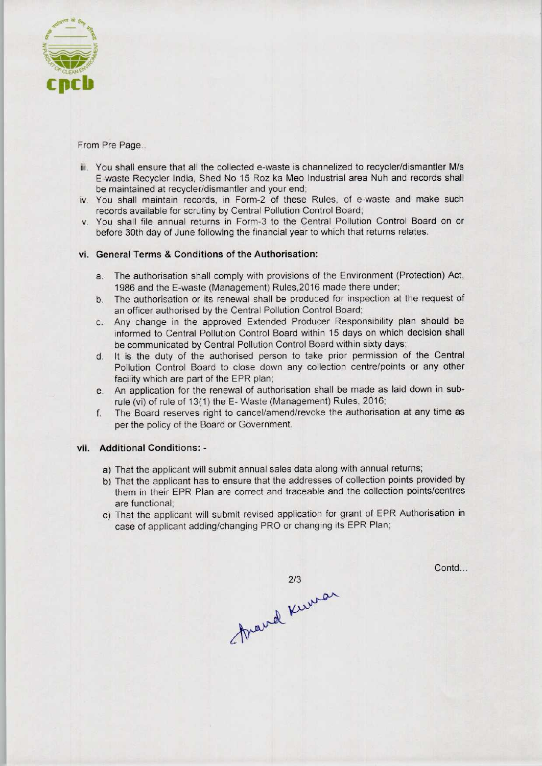

From Pre Page..

- iii. You shall ensure that all the collected e-waste is channelized to recycler/dismantler M/s E-waste Recycler India. Shed No 15 Roz ka Meo Industrial area Nuh and records shall be maintained at recycler/dismantler and your end;
- iv. You shall maintain records, in Form-2 of these Rules, of e-waste and make such records available for scrutiny by Central Pollution Control Board;
- v. You shall file annual returns in Form-3 to the Centra! Pollution Control Board on or before 30th day of June following the financial year to which that returns relates.

#### vi. General Terms & Conditions of the Authorisation:

- a.The authorisation shall comply with provisions of the Environment (Protection) Act, 1986 and the E-waste (Management) Rules,2016 made there under;
- b.The authorisation or its renewal shall be produced for inspection at the request of an officer authorised by the Central Pollution Control Board;
- c.Any change in the approved Extended Producer Responsibility plan should be informed to Central Pollution Control Board within 15 days on which decision shall be communicated by Central Pollution Control Board within sixty days;
- d. It is the duty of the authorised person to take prior permission of the Central Pollution Control Board to close down any collection centre/points or any other facility which are part of the EPR plan;
- e.An application for the renewal of authorisation shall be made aslaid down in subrule (vi) of rule of 13(1) the E- Waste (Management) Rules, 2016;
- f.The Board reserves right to cancel/amend/revoke the authorisation at any time as perthe policy of the Board or Government.

#### vii. Additional Conditions: -

- a) That the applicant will submit annual sales data along with annual returns;
- b)That the applicant has to ensure that the addresses of collection points provided by them in their EPR Plan are correct and traceable and the collection points/centres are functional;
- c) That the applicant will submit revised application for grant of EPR Authorisation in case of applicant adding/changing PRO or changing its EPR Plan;

213<br>Aravel Kurran

Contd...